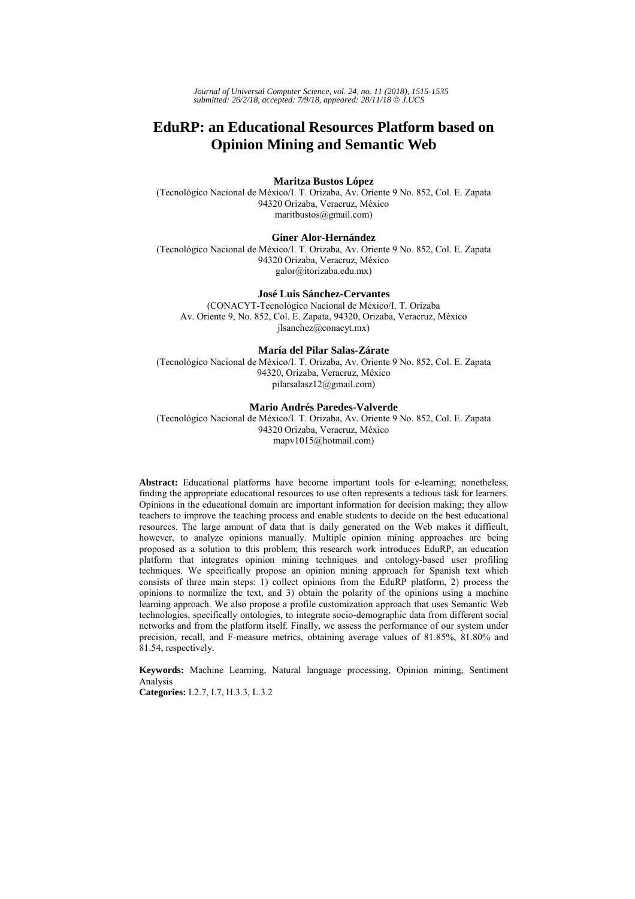*Journal of Universal Computer Science, vol. 24, no. 11 (2018), 1515-1535 submitted: 26/2/18, accepted: 7/9/18, appeared: 28/11/18* © *J.UCS*

# **EduRP: an Educational Resources Platform based on Opinion Mining and Semantic Web**

### **Maritza Bustos López**

(Tecnológico Nacional de México/I. T. Orizaba, Av. Oriente 9 No. 852, Col. E. Zapata 94320 Orizaba, Veracruz, México maritbustos@gmail.com)

### **Giner Alor-Hernández**

(Tecnológico Nacional de México/I. T. Orizaba, Av. Oriente 9 No. 852, Col. E. Zapata 94320 Orizaba, Veracruz, México galor@itorizaba.edu.mx)

# **José Luis Sánchez-Cervantes**

(CONACYT-Tecnológico Nacional de México/I. T. Orizaba Av. Oriente 9, No. 852, Col. E. Zapata, 94320, Orizaba, Veracruz, México jlsanchez@conacyt.mx)

#### **María del Pilar Salas-Zárate**

(Tecnológico Nacional de México/I. T. Orizaba, Av. Oriente 9 No. 852, Col. E. Zapata 94320, Orizaba, Veracruz, México pilarsalasz12@gmail.com)

#### **Mario Andrés Paredes-Valverde**

(Tecnológico Nacional de México/I. T. Orizaba, Av. Oriente 9 No. 852, Col. E. Zapata 94320 Orizaba, Veracruz, México mapv1015@hotmail.com)

**Abstract:** Educational platforms have become important tools for e-learning; nonetheless, finding the appropriate educational resources to use often represents a tedious task for learners. Opinions in the educational domain are important information for decision making; they allow teachers to improve the teaching process and enable students to decide on the best educational resources. The large amount of data that is daily generated on the Web makes it difficult, however, to analyze opinions manually. Multiple opinion mining approaches are being proposed as a solution to this problem; this research work introduces EduRP, an education platform that integrates opinion mining techniques and ontology-based user profiling techniques. We specifically propose an opinion mining approach for Spanish text which consists of three main steps: 1) collect opinions from the EduRP platform, 2) process the opinions to normalize the text, and 3) obtain the polarity of the opinions using a machine learning approach. We also propose a profile customization approach that uses Semantic Web technologies, specifically ontologies, to integrate socio-demographic data from different social networks and from the platform itself. Finally, we assess the performance of our system under precision, recall, and F-measure metrics, obtaining average values of 81.85%, 81.80% and 81.54, respectively.

**Keywords:** Machine Learning, Natural language processing, Opinion mining, Sentiment Analysis

**Categories:** I.2.7, I.7, H.3.3, L.3.2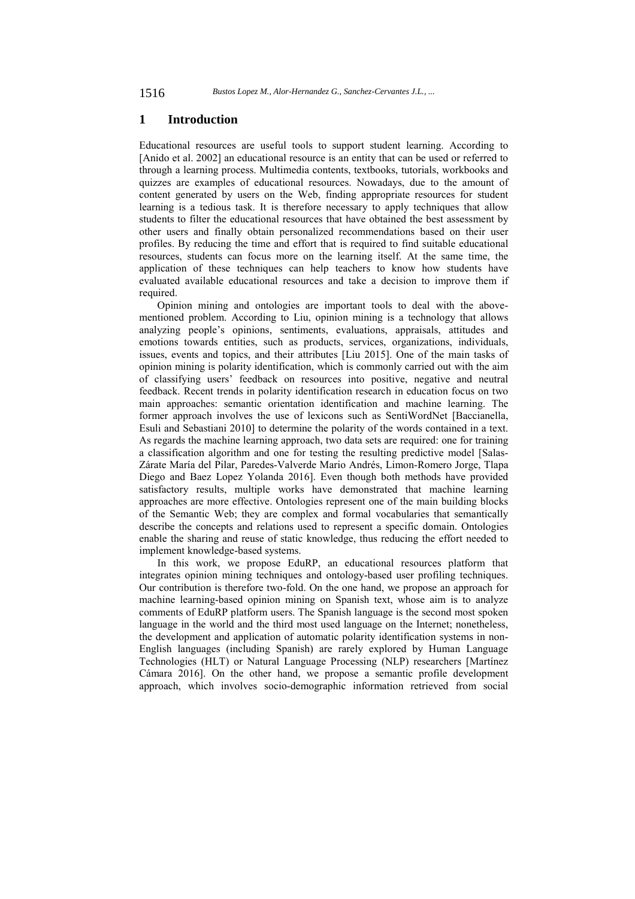# **1 Introduction**

Educational resources are useful tools to support student learning. According to [Anido et al. 2002] an educational resource is an entity that can be used or referred to through a learning process. Multimedia contents, textbooks, tutorials, workbooks and quizzes are examples of educational resources. Nowadays, due to the amount of content generated by users on the Web, finding appropriate resources for student learning is a tedious task. It is therefore necessary to apply techniques that allow students to filter the educational resources that have obtained the best assessment by other users and finally obtain personalized recommendations based on their user profiles. By reducing the time and effort that is required to find suitable educational resources, students can focus more on the learning itself. At the same time, the application of these techniques can help teachers to know how students have evaluated available educational resources and take a decision to improve them if required.

Opinion mining and ontologies are important tools to deal with the abovementioned problem. According to Liu, opinion mining is a technology that allows analyzing people's opinions, sentiments, evaluations, appraisals, attitudes and emotions towards entities, such as products, services, organizations, individuals, issues, events and topics, and their attributes [Liu 2015]. One of the main tasks of opinion mining is polarity identification, which is commonly carried out with the aim of classifying users' feedback on resources into positive, negative and neutral feedback. Recent trends in polarity identification research in education focus on two main approaches: semantic orientation identification and machine learning. The former approach involves the use of lexicons such as SentiWordNet [Baccianella, Esuli and Sebastiani 2010] to determine the polarity of the words contained in a text. As regards the machine learning approach, two data sets are required: one for training a classification algorithm and one for testing the resulting predictive model [Salas-Zárate María del Pilar, Paredes-Valverde Mario Andrés, Limon-Romero Jorge, Tlapa Diego and Baez Lopez Yolanda 2016]. Even though both methods have provided satisfactory results, multiple works have demonstrated that machine learning approaches are more effective. Ontologies represent one of the main building blocks of the Semantic Web; they are complex and formal vocabularies that semantically describe the concepts and relations used to represent a specific domain. Ontologies enable the sharing and reuse of static knowledge, thus reducing the effort needed to implement knowledge-based systems.

In this work, we propose EduRP, an educational resources platform that integrates opinion mining techniques and ontology-based user profiling techniques. Our contribution is therefore two-fold. On the one hand, we propose an approach for machine learning-based opinion mining on Spanish text, whose aim is to analyze comments of EduRP platform users. The Spanish language is the second most spoken language in the world and the third most used language on the Internet; nonetheless, the development and application of automatic polarity identification systems in non-English languages (including Spanish) are rarely explored by Human Language Technologies (HLT) or Natural Language Processing (NLP) researchers [Martínez Cámara 2016]. On the other hand, we propose a semantic profile development approach, which involves socio-demographic information retrieved from social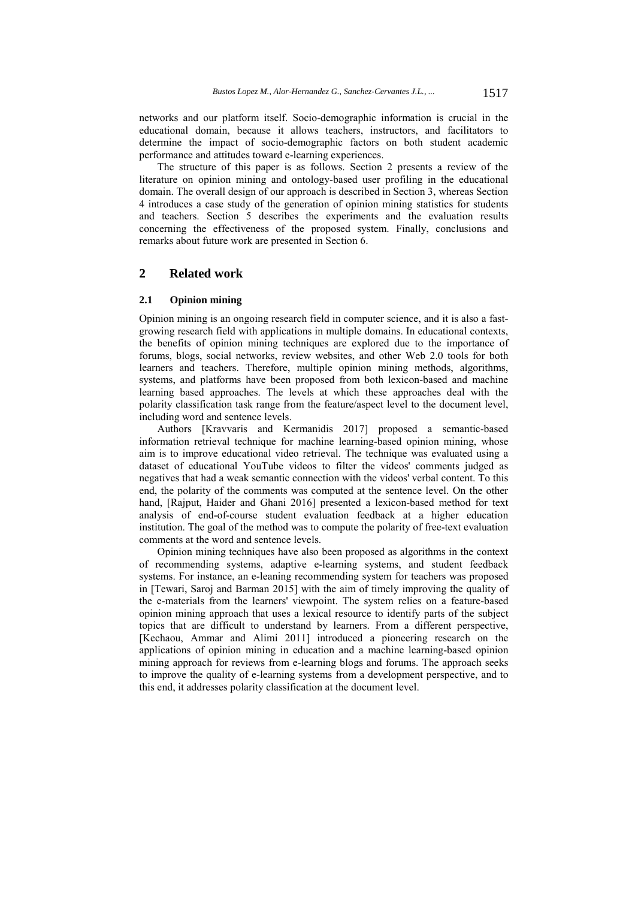networks and our platform itself. Socio-demographic information is crucial in the educational domain, because it allows teachers, instructors, and facilitators to determine the impact of socio-demographic factors on both student academic performance and attitudes toward e-learning experiences.

The structure of this paper is as follows. Section 2 presents a review of the literature on opinion mining and ontology-based user profiling in the educational domain. The overall design of our approach is described in Section 3, whereas Section 4 introduces a case study of the generation of opinion mining statistics for students and teachers. Section 5 describes the experiments and the evaluation results concerning the effectiveness of the proposed system. Finally, conclusions and remarks about future work are presented in Section 6.

# **2 Related work**

### **2.1 Opinion mining**

Opinion mining is an ongoing research field in computer science, and it is also a fastgrowing research field with applications in multiple domains. In educational contexts, the benefits of opinion mining techniques are explored due to the importance of forums, blogs, social networks, review websites, and other Web 2.0 tools for both learners and teachers. Therefore, multiple opinion mining methods, algorithms, systems, and platforms have been proposed from both lexicon-based and machine learning based approaches. The levels at which these approaches deal with the polarity classification task range from the feature/aspect level to the document level, including word and sentence levels.

Authors [Kravvaris and Kermanidis 2017] proposed a semantic-based information retrieval technique for machine learning-based opinion mining, whose aim is to improve educational video retrieval. The technique was evaluated using a dataset of educational YouTube videos to filter the videos' comments judged as negatives that had a weak semantic connection with the videos' verbal content. To this end, the polarity of the comments was computed at the sentence level. On the other hand, [Rajput, Haider and Ghani 2016] presented a lexicon-based method for text analysis of end-of-course student evaluation feedback at a higher education institution. The goal of the method was to compute the polarity of free-text evaluation comments at the word and sentence levels.

Opinion mining techniques have also been proposed as algorithms in the context of recommending systems, adaptive e-learning systems, and student feedback systems. For instance, an e-leaning recommending system for teachers was proposed in [Tewari, Saroj and Barman 2015] with the aim of timely improving the quality of the e-materials from the learners' viewpoint. The system relies on a feature-based opinion mining approach that uses a lexical resource to identify parts of the subject topics that are difficult to understand by learners. From a different perspective, [Kechaou, Ammar and Alimi 2011] introduced a pioneering research on the applications of opinion mining in education and a machine learning-based opinion mining approach for reviews from e-learning blogs and forums. The approach seeks to improve the quality of e-learning systems from a development perspective, and to this end, it addresses polarity classification at the document level.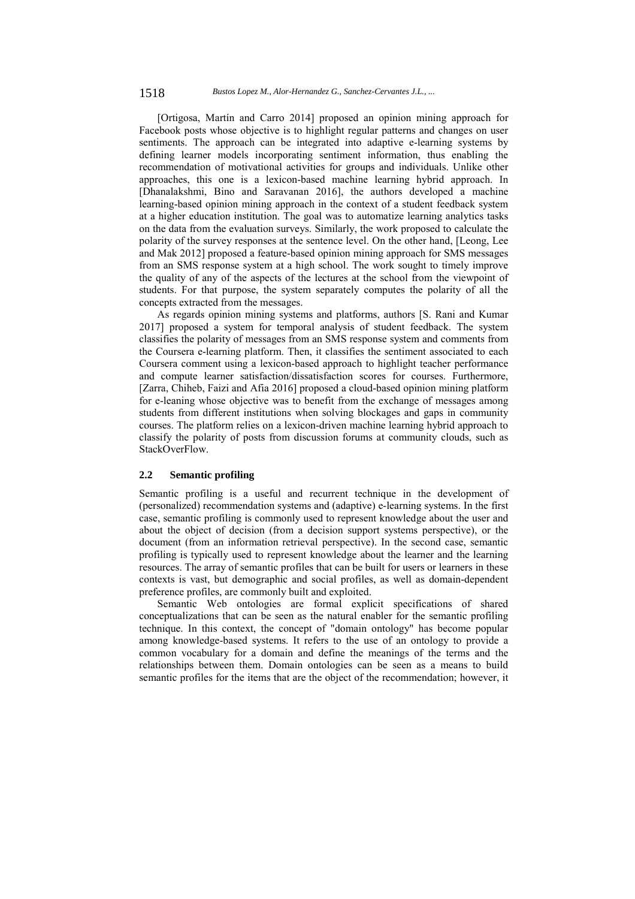[Ortigosa, Martín and Carro 2014] proposed an opinion mining approach for Facebook posts whose objective is to highlight regular patterns and changes on user sentiments. The approach can be integrated into adaptive e-learning systems by defining learner models incorporating sentiment information, thus enabling the recommendation of motivational activities for groups and individuals. Unlike other approaches, this one is a lexicon-based machine learning hybrid approach. In [Dhanalakshmi, Bino and Saravanan 2016], the authors developed a machine learning-based opinion mining approach in the context of a student feedback system at a higher education institution. The goal was to automatize learning analytics tasks on the data from the evaluation surveys. Similarly, the work proposed to calculate the polarity of the survey responses at the sentence level. On the other hand, [Leong, Lee and Mak 2012] proposed a feature-based opinion mining approach for SMS messages from an SMS response system at a high school. The work sought to timely improve the quality of any of the aspects of the lectures at the school from the viewpoint of students. For that purpose, the system separately computes the polarity of all the concepts extracted from the messages.

As regards opinion mining systems and platforms, authors [S. Rani and Kumar 2017] proposed a system for temporal analysis of student feedback. The system classifies the polarity of messages from an SMS response system and comments from the Coursera e-learning platform. Then, it classifies the sentiment associated to each Coursera comment using a lexicon-based approach to highlight teacher performance and compute learner satisfaction/dissatisfaction scores for courses. Furthermore, [Zarra, Chiheb, Faizi and Afia 2016] proposed a cloud-based opinion mining platform for e-leaning whose objective was to benefit from the exchange of messages among students from different institutions when solving blockages and gaps in community courses. The platform relies on a lexicon-driven machine learning hybrid approach to classify the polarity of posts from discussion forums at community clouds, such as StackOverFlow.

# **2.2 Semantic profiling**

Semantic profiling is a useful and recurrent technique in the development of (personalized) recommendation systems and (adaptive) e-learning systems. In the first case, semantic profiling is commonly used to represent knowledge about the user and about the object of decision (from a decision support systems perspective), or the document (from an information retrieval perspective). In the second case, semantic profiling is typically used to represent knowledge about the learner and the learning resources. The array of semantic profiles that can be built for users or learners in these contexts is vast, but demographic and social profiles, as well as domain-dependent preference profiles, are commonly built and exploited.

Semantic Web ontologies are formal explicit specifications of shared conceptualizations that can be seen as the natural enabler for the semantic profiling technique. In this context, the concept of "domain ontology" has become popular among knowledge-based systems. It refers to the use of an ontology to provide a common vocabulary for a domain and define the meanings of the terms and the relationships between them. Domain ontologies can be seen as a means to build semantic profiles for the items that are the object of the recommendation; however, it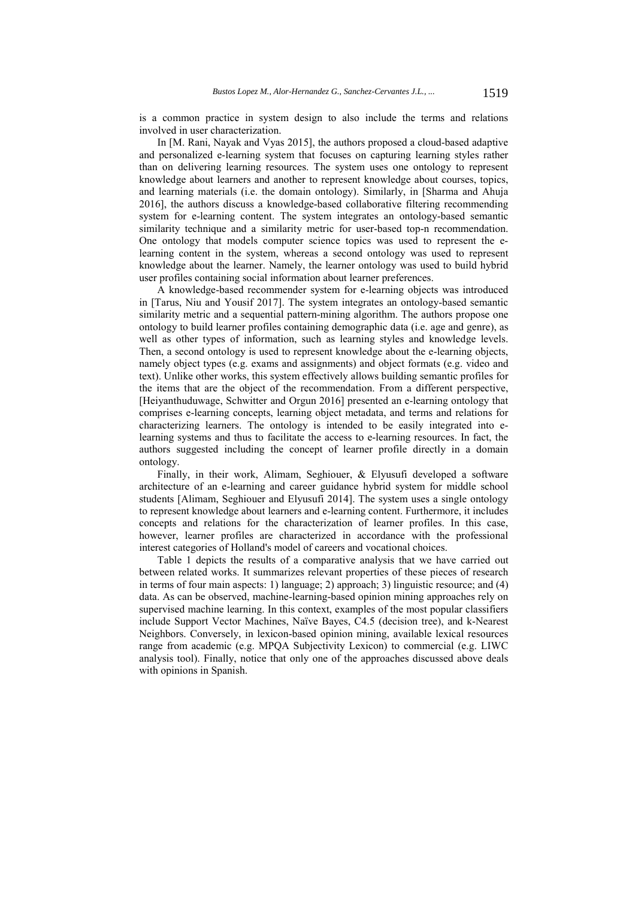is a common practice in system design to also include the terms and relations involved in user characterization.

In [M. Rani, Nayak and Vyas 2015], the authors proposed a cloud-based adaptive and personalized e-learning system that focuses on capturing learning styles rather than on delivering learning resources. The system uses one ontology to represent knowledge about learners and another to represent knowledge about courses, topics, and learning materials (i.e. the domain ontology). Similarly, in [Sharma and Ahuja 2016], the authors discuss a knowledge-based collaborative filtering recommending system for e-learning content. The system integrates an ontology-based semantic similarity technique and a similarity metric for user-based top-n recommendation. One ontology that models computer science topics was used to represent the elearning content in the system, whereas a second ontology was used to represent knowledge about the learner. Namely, the learner ontology was used to build hybrid user profiles containing social information about learner preferences.

A knowledge-based recommender system for e-learning objects was introduced in [Tarus, Niu and Yousif 2017]. The system integrates an ontology-based semantic similarity metric and a sequential pattern-mining algorithm. The authors propose one ontology to build learner profiles containing demographic data (i.e. age and genre), as well as other types of information, such as learning styles and knowledge levels. Then, a second ontology is used to represent knowledge about the e-learning objects, namely object types (e.g. exams and assignments) and object formats (e.g. video and text). Unlike other works, this system effectively allows building semantic profiles for the items that are the object of the recommendation. From a different perspective, [Heiyanthuduwage, Schwitter and Orgun 2016] presented an e-learning ontology that comprises e-learning concepts, learning object metadata, and terms and relations for characterizing learners. The ontology is intended to be easily integrated into elearning systems and thus to facilitate the access to e-learning resources. In fact, the authors suggested including the concept of learner profile directly in a domain ontology.

Finally, in their work, Alimam, Seghiouer, & Elyusufi developed a software architecture of an e-learning and career guidance hybrid system for middle school students [Alimam, Seghiouer and Elyusufi 2014]. The system uses a single ontology to represent knowledge about learners and e-learning content. Furthermore, it includes concepts and relations for the characterization of learner profiles. In this case, however, learner profiles are characterized in accordance with the professional interest categories of Holland's model of careers and vocational choices.

Table 1 depicts the results of a comparative analysis that we have carried out between related works. It summarizes relevant properties of these pieces of research in terms of four main aspects: 1) language; 2) approach; 3) linguistic resource; and (4) data. As can be observed, machine-learning-based opinion mining approaches rely on supervised machine learning. In this context, examples of the most popular classifiers include Support Vector Machines, Naïve Bayes, C4.5 (decision tree), and k-Nearest Neighbors. Conversely, in lexicon-based opinion mining, available lexical resources range from academic (e.g. MPQA Subjectivity Lexicon) to commercial (e.g. LIWC analysis tool). Finally, notice that only one of the approaches discussed above deals with opinions in Spanish.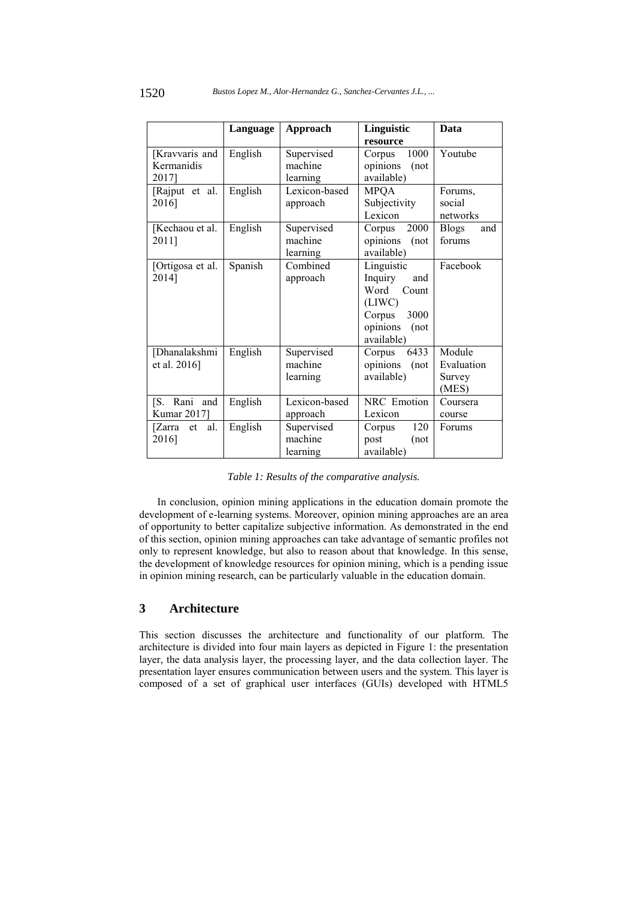|                                       | Language | <b>Approach</b>                   | Linguistic                                                                                                   | Data                                    |
|---------------------------------------|----------|-----------------------------------|--------------------------------------------------------------------------------------------------------------|-----------------------------------------|
|                                       |          |                                   | resource                                                                                                     |                                         |
| [Kravvaris and<br>Kermanidis<br>2017] | English  | Supervised<br>machine<br>learning | 1000<br>Corpus<br>opinions<br>(not<br>available)                                                             | Youtube                                 |
| [Rajput et al.<br>2016]               | English  | Lexicon-based<br>approach         | <b>MPQA</b><br>Subjectivity<br>Lexicon                                                                       | Forums,<br>social<br>networks           |
| [Kechaou et al.<br>2011]              | English  | Supervised<br>machine<br>learning | 2000<br>Corpus<br>opinions<br>(not)<br>available)                                                            | <b>Blogs</b><br>and<br>forums           |
| [Ortigosa et al.<br>2014]             | Spanish  | Combined<br>approach              | Linguistic<br>Inquiry<br>and<br>Word<br>Count<br>(LIWC)<br>3000<br>Corpus<br>opinions<br>(not)<br>available) | Facebook                                |
| [Dhanalakshmi<br>et al. 2016]         | English  | Supervised<br>machine<br>learning | 6433<br>Corpus<br>opinions<br>(not)<br>available)                                                            | Module<br>Evaluation<br>Survey<br>(MES) |
| [S. Rani and<br>Kumar 2017]           | English  | Lexicon-based<br>approach         | NRC Emotion<br>Lexicon                                                                                       | Coursera<br>course                      |
| al.<br>[Zarra<br>et<br>2016]          | English  | Supervised<br>machine<br>learning | 120<br>Corpus<br>post<br>(not<br>available)                                                                  | Forums                                  |

*Table 1: Results of the comparative analysis.* 

In conclusion, opinion mining applications in the education domain promote the development of e-learning systems. Moreover, opinion mining approaches are an area of opportunity to better capitalize subjective information. As demonstrated in the end of this section, opinion mining approaches can take advantage of semantic profiles not only to represent knowledge, but also to reason about that knowledge. In this sense, the development of knowledge resources for opinion mining, which is a pending issue in opinion mining research, can be particularly valuable in the education domain.

# **3 Architecture**

This section discusses the architecture and functionality of our platform. The architecture is divided into four main layers as depicted in Figure 1: the presentation layer, the data analysis layer, the processing layer, and the data collection layer. The presentation layer ensures communication between users and the system. This layer is composed of a set of graphical user interfaces (GUIs) developed with HTML5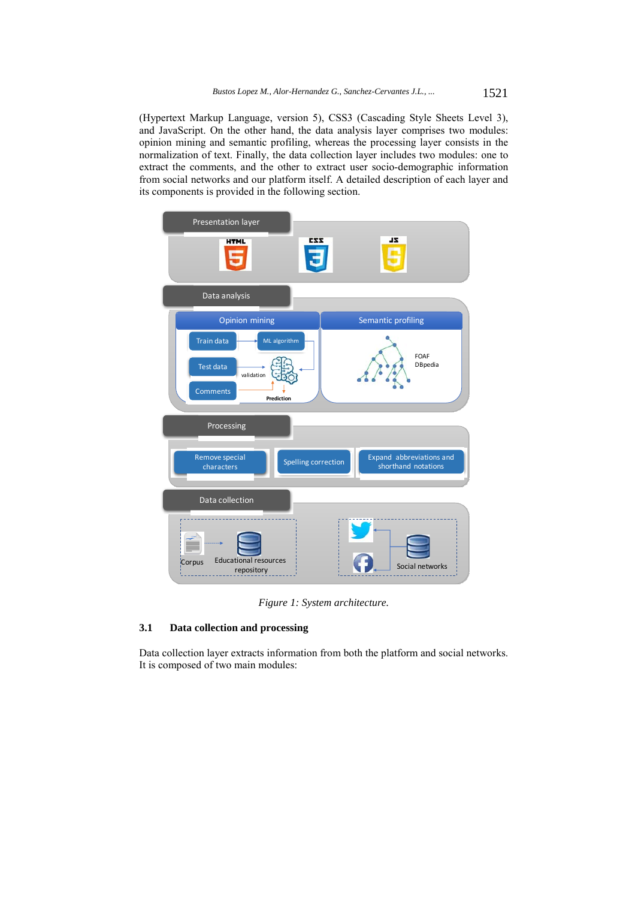(Hypertext Markup Language, version 5), CSS3 (Cascading Style Sheets Level 3), and JavaScript. On the other hand, the data analysis layer comprises two modules: opinion mining and semantic profiling, whereas the processing layer consists in the normalization of text. Finally, the data collection layer includes two modules: one to extract the comments, and the other to extract user socio-demographic information from social networks and our platform itself. A detailed description of each layer and its components is provided in the following section.



*Figure 1: System architecture.* 

# **3.1 Data collection and processing**

Data collection layer extracts information from both the platform and social networks. It is composed of two main modules: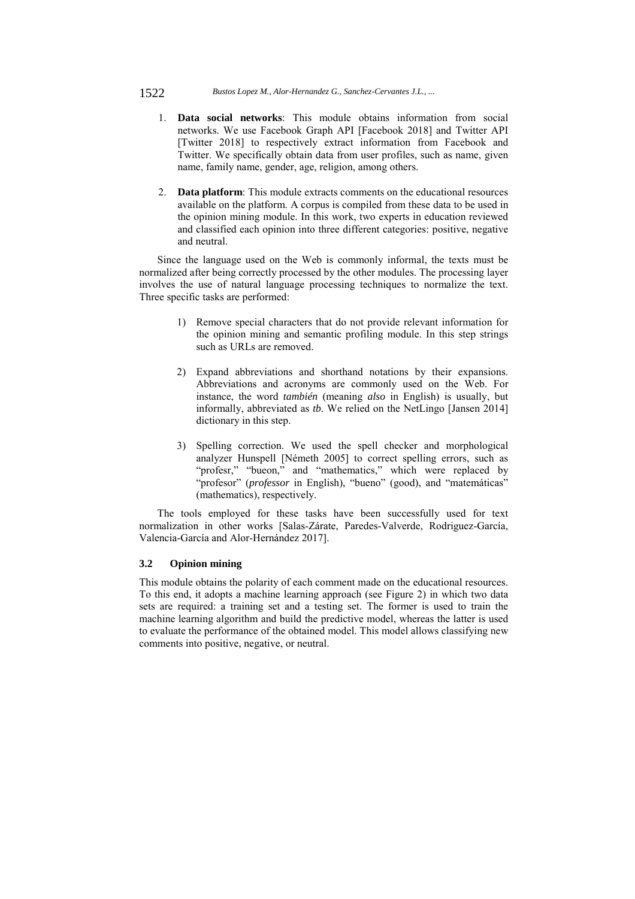#### 1522 *Bustos Lopez M., Alor-Hernandez G., Sanchez-Cervantes J.L., ...*

- 1. **Data social networks**: This module obtains information from social networks. We use Facebook Graph API [Facebook 2018] and Twitter API [Twitter 2018] to respectively extract information from Facebook and Twitter. We specifically obtain data from user profiles, such as name, given name, family name, gender, age, religion, among others.
- 2. **Data platform**: This module extracts comments on the educational resources available on the platform. A corpus is compiled from these data to be used in the opinion mining module. In this work, two experts in education reviewed and classified each opinion into three different categories: positive, negative and neutral.

Since the language used on the Web is commonly informal, the texts must be normalized after being correctly processed by the other modules. The processing layer involves the use of natural language processing techniques to normalize the text. Three specific tasks are performed:

- 1) Remove special characters that do not provide relevant information for the opinion mining and semantic profiling module. In this step strings such as URLs are removed.
- 2) Expand abbreviations and shorthand notations by their expansions. Abbreviations and acronyms are commonly used on the Web. For instance, the word *también* (meaning *also* in English) is usually, but informally, abbreviated as *tb.* We relied on the NetLingo [Jansen 2014] dictionary in this step.
- 3) Spelling correction. We used the spell checker and morphological analyzer Hunspell [Németh 2005] to correct spelling errors, such as "profesr," "bueon," and "mathematics," which were replaced by "profesor" (*professor* in English), "bueno" (good), and "matemáticas" (mathematics), respectively.

The tools employed for these tasks have been successfully used for text normalization in other works [Salas-Zárate, Paredes-Valverde, Rodriguez-García, Valencia-García and Alor-Hernández 2017].

# **3.2 Opinion mining**

This module obtains the polarity of each comment made on the educational resources. To this end, it adopts a machine learning approach (see Figure 2) in which two data sets are required: a training set and a testing set. The former is used to train the machine learning algorithm and build the predictive model, whereas the latter is used to evaluate the performance of the obtained model. This model allows classifying new comments into positive, negative, or neutral.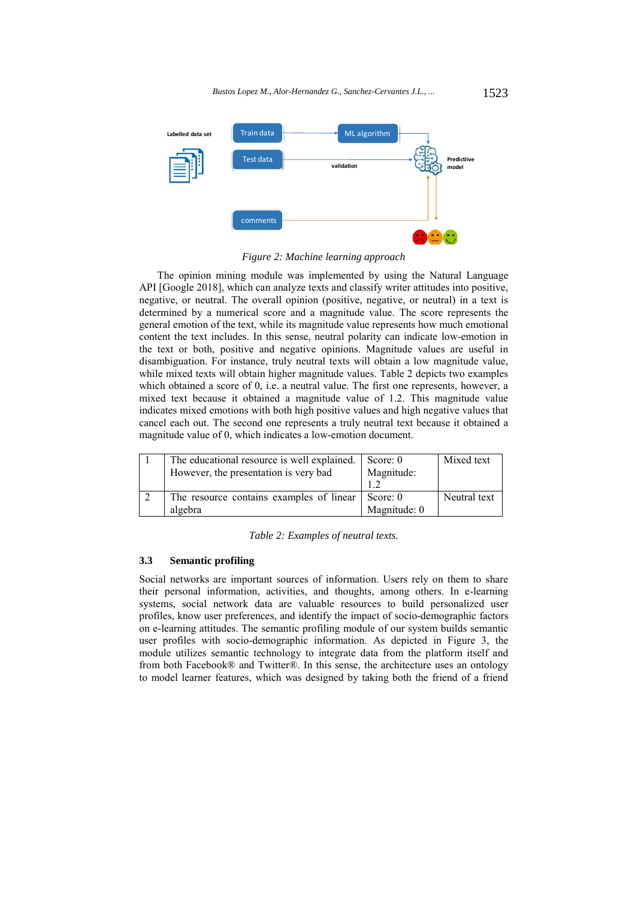

*Figure 2: Machine learning approach* 

The opinion mining module was implemented by using the Natural Language API [Google 2018], which can analyze texts and classify writer attitudes into positive, negative, or neutral. The overall opinion (positive, negative, or neutral) in a text is determined by a numerical score and a magnitude value. The score represents the general emotion of the text, while its magnitude value represents how much emotional content the text includes. In this sense, neutral polarity can indicate low-emotion in the text or both, positive and negative opinions. Magnitude values are useful in disambiguation. For instance, truly neutral texts will obtain a low magnitude value, while mixed texts will obtain higher magnitude values. Table 2 depicts two examples which obtained a score of 0, i.e. a neutral value. The first one represents, however, a mixed text because it obtained a magnitude value of 1.2. This magnitude value indicates mixed emotions with both high positive values and high negative values that cancel each out. The second one represents a truly neutral text because it obtained a magnitude value of 0, which indicates a low-emotion document.

| The educational resource is well explained.<br>However, the presentation is very bad | Score: 0<br>Magnitude:     | Mixed text   |
|--------------------------------------------------------------------------------------|----------------------------|--------------|
| The resource contains examples of linear<br>algebra                                  | Score: $0$<br>Magnitude: 0 | Neutral text |

*Table 2: Examples of neutral texts.* 

#### **3.3 Semantic profiling**

Social networks are important sources of information. Users rely on them to share their personal information, activities, and thoughts, among others. In e-learning systems, social network data are valuable resources to build personalized user profiles, know user preferences, and identify the impact of socio-demographic factors on e-learning attitudes. The semantic profiling module of our system builds semantic user profiles with socio-demographic information. As depicted in Figure 3, the module utilizes semantic technology to integrate data from the platform itself and from both Facebook® and Twitter®. In this sense, the architecture uses an ontology to model learner features, which was designed by taking both the friend of a friend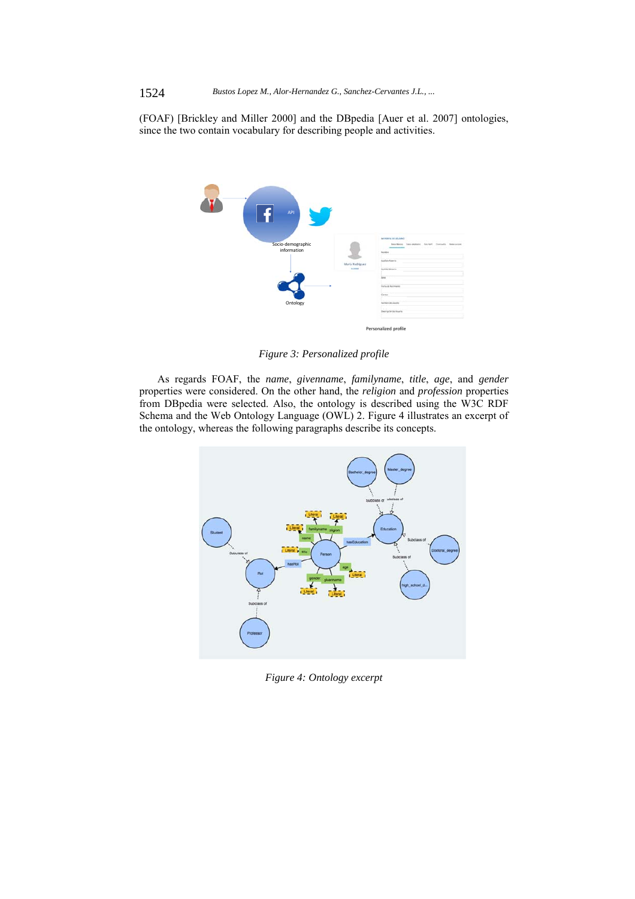(FOAF) [Brickley and Miller 2000] and the DBpedia [Auer et al. 2007] ontologies, since the two contain vocabulary for describing people and activities.



*Figure 3: Personalized profile* 

As regards FOAF, the *name*, *givenname*, *familyname*, *title*, *age*, and *gender* properties were considered. On the other hand, the *religion* and *profession* properties from DBpedia were selected. Also, the ontology is described using the W3C RDF Schema and the Web Ontology Language (OWL) 2. Figure 4 illustrates an excerpt of the ontology, whereas the following paragraphs describe its concepts.



*Figure 4: Ontology excerpt*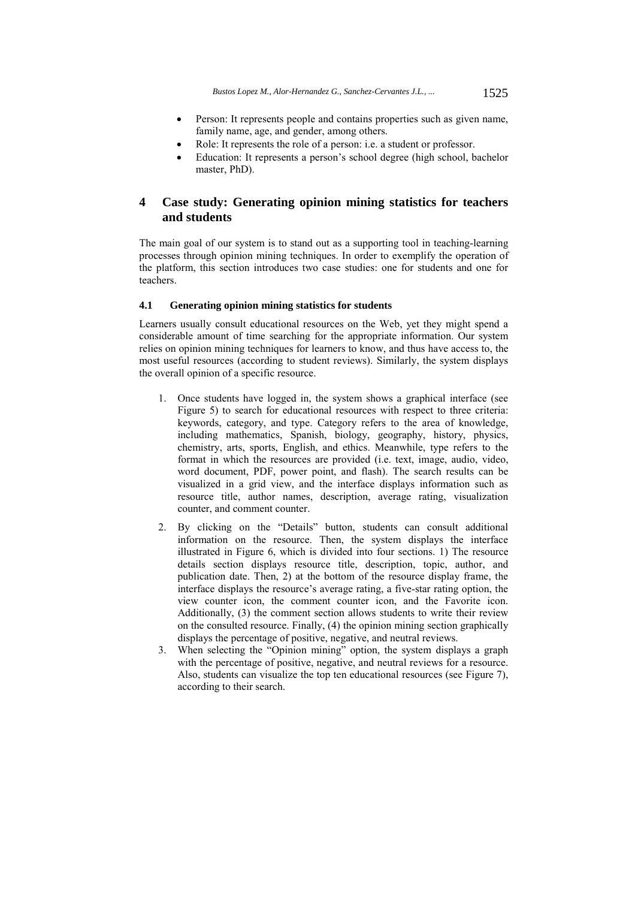- Person: It represents people and contains properties such as given name, family name, age, and gender, among others.
- Role: It represents the role of a person: i.e. a student or professor.
- Education: It represents a person's school degree (high school, bachelor master, PhD).

# **4 Case study: Generating opinion mining statistics for teachers and students**

The main goal of our system is to stand out as a supporting tool in teaching-learning processes through opinion mining techniques. In order to exemplify the operation of the platform, this section introduces two case studies: one for students and one for teachers.

### **4.1 Generating opinion mining statistics for students**

Learners usually consult educational resources on the Web, yet they might spend a considerable amount of time searching for the appropriate information. Our system relies on opinion mining techniques for learners to know, and thus have access to, the most useful resources (according to student reviews). Similarly, the system displays the overall opinion of a specific resource.

- 1. Once students have logged in, the system shows a graphical interface (see Figure 5) to search for educational resources with respect to three criteria: keywords, category, and type. Category refers to the area of knowledge, including mathematics, Spanish, biology, geography, history, physics, chemistry, arts, sports, English, and ethics. Meanwhile, type refers to the format in which the resources are provided (i.e. text, image, audio, video, word document, PDF, power point, and flash). The search results can be visualized in a grid view, and the interface displays information such as resource title, author names, description, average rating, visualization counter, and comment counter.
- 2. By clicking on the "Details" button, students can consult additional information on the resource. Then, the system displays the interface illustrated in Figure 6, which is divided into four sections. 1) The resource details section displays resource title, description, topic, author, and publication date. Then, 2) at the bottom of the resource display frame, the interface displays the resource's average rating, a five-star rating option, the view counter icon, the comment counter icon, and the Favorite icon. Additionally, (3) the comment section allows students to write their review on the consulted resource. Finally, (4) the opinion mining section graphically displays the percentage of positive, negative, and neutral reviews.
- 3. When selecting the "Opinion mining" option, the system displays a graph with the percentage of positive, negative, and neutral reviews for a resource. Also, students can visualize the top ten educational resources (see Figure 7), according to their search.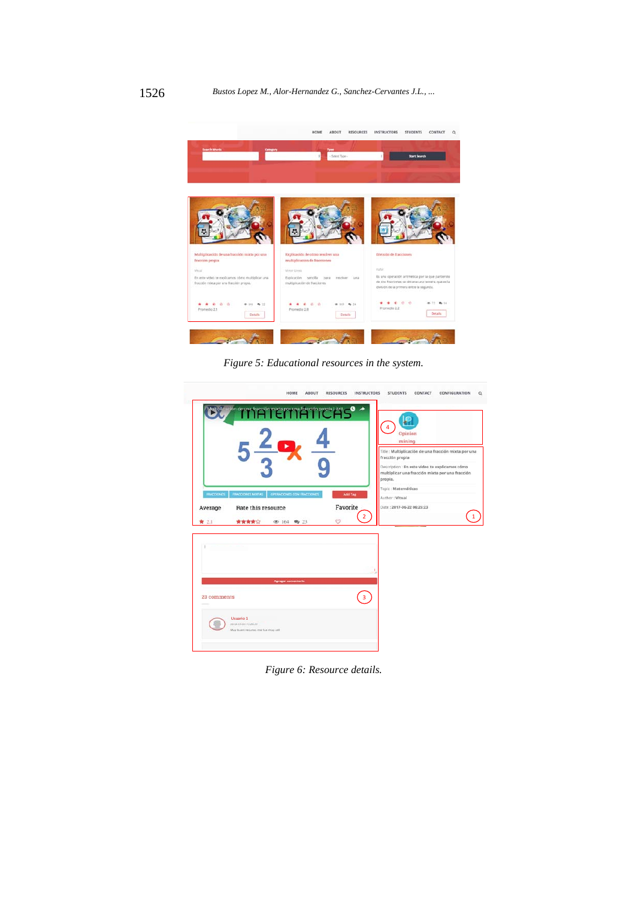

*Figure 5: Educational resources in the system.* 

|                   | Multiplicagión de una fracción mixta por una fracción propia i Arti- |                                 | $\overline{4}$<br>Opinion<br>mining                                                                                                                                                                           |
|-------------------|----------------------------------------------------------------------|---------------------------------|---------------------------------------------------------------------------------------------------------------------------------------------------------------------------------------------------------------|
| <b>FRACCIONIS</b> | <b>FRACCIONES MOTAS</b><br>OPERADONES CON FRACCIONES                 | Add Tag                         | Title : Multiplicación de una fracción mixta por una<br>fracción propia<br>Description : En este video te explicamos cómo<br>multiplicar una fracción mixta por una fracción<br>propia.<br>Topic: Matemáticas |
| Average<br>★ 2.1  | Rate this resource<br>含含含合金<br><b>④ 164 角 23</b>                     | Favorite<br>$\overline{2}$<br>∽ | Author: Vitual<br>Date: 2017-06-22 06:25:23                                                                                                                                                                   |
|                   |                                                                      |                                 |                                                                                                                                                                                                               |
|                   | <b>Agregar</b> committeein                                           |                                 |                                                                                                                                                                                                               |
| 23 comments       |                                                                      | $\overline{\mathbf{3}}$         |                                                                                                                                                                                                               |
|                   |                                                                      |                                 |                                                                                                                                                                                                               |

*Figure 6: Resource details.*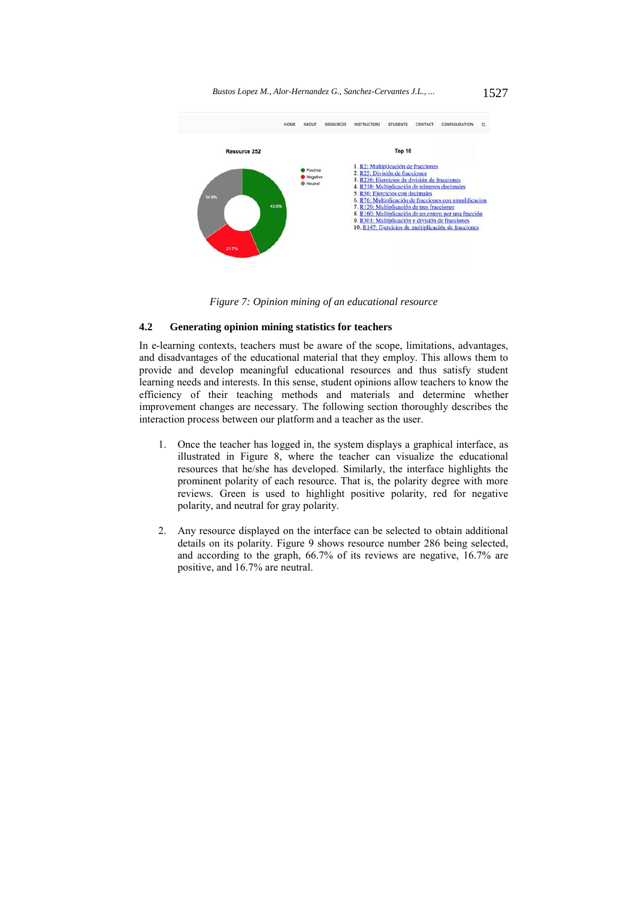*Bustos Lopez M., Alor-Hernandez G., Sanchez-Cervantes J.L., ...* 1527



*Figure 7: Opinion mining of an educational resource* 

# **4.2 Generating opinion mining statistics for teachers**

In e-learning contexts, teachers must be aware of the scope, limitations, advantages, and disadvantages of the educational material that they employ. This allows them to provide and develop meaningful educational resources and thus satisfy student learning needs and interests. In this sense, student opinions allow teachers to know the efficiency of their teaching methods and materials and determine whether improvement changes are necessary. The following section thoroughly describes the interaction process between our platform and a teacher as the user.

- 1. Once the teacher has logged in, the system displays a graphical interface, as illustrated in Figure 8, where the teacher can visualize the educational resources that he/she has developed. Similarly, the interface highlights the prominent polarity of each resource. That is, the polarity degree with more reviews. Green is used to highlight positive polarity, red for negative polarity, and neutral for gray polarity.
- 2. Any resource displayed on the interface can be selected to obtain additional details on its polarity. Figure 9 shows resource number 286 being selected, and according to the graph, 66.7% of its reviews are negative, 16.7% are positive, and 16.7% are neutral.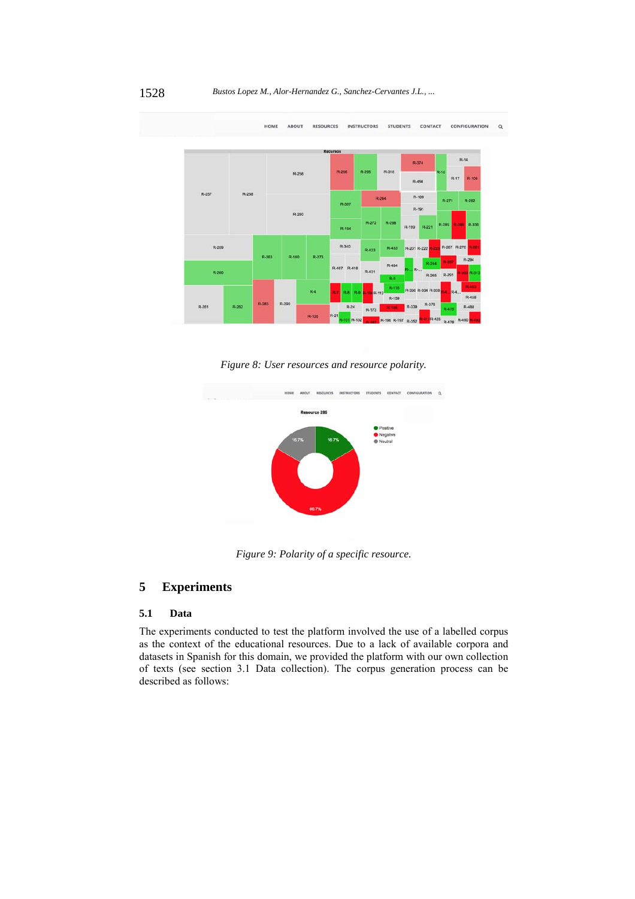

*Figure 8: User resources and resource polarity.* 



*Figure 9: Polarity of a specific resource.* 

# **5 Experiments**

## **5.1 Data**

The experiments conducted to test the platform involved the use of a labelled corpus as the context of the educational resources. Due to a lack of available corpora and datasets in Spanish for this domain, we provided the platform with our own collection of texts (see section 3.1 Data collection). The corpus generation process can be described as follows: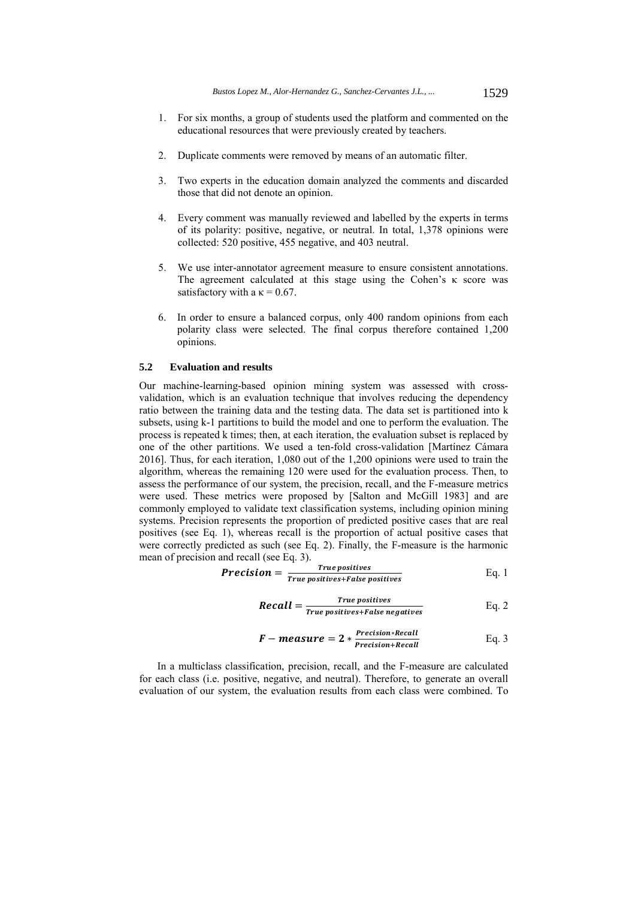- 1. For six months, a group of students used the platform and commented on the educational resources that were previously created by teachers.
- 2. Duplicate comments were removed by means of an automatic filter.
- 3. Two experts in the education domain analyzed the comments and discarded those that did not denote an opinion.
- 4. Every comment was manually reviewed and labelled by the experts in terms of its polarity: positive, negative, or neutral. In total, 1,378 opinions were collected: 520 positive, 455 negative, and 403 neutral.
- 5. We use inter-annotator agreement measure to ensure consistent annotations. The agreement calculated at this stage using the Cohen's κ score was satisfactory with a  $\kappa$  = 0.67.
- 6. In order to ensure a balanced corpus, only 400 random opinions from each polarity class were selected. The final corpus therefore contained 1,200 opinions.

## **5.2 Evaluation and results**

Our machine-learning-based opinion mining system was assessed with crossvalidation, which is an evaluation technique that involves reducing the dependency ratio between the training data and the testing data. The data set is partitioned into k subsets, using k-1 partitions to build the model and one to perform the evaluation. The process is repeated k times; then, at each iteration, the evaluation subset is replaced by one of the other partitions. We used a ten-fold cross-validation [Martínez Cámara 2016]. Thus, for each iteration, 1,080 out of the 1,200 opinions were used to train the algorithm, whereas the remaining 120 were used for the evaluation process. Then, to assess the performance of our system, the precision, recall, and the F-measure metrics were used. These metrics were proposed by [Salton and McGill 1983] and are commonly employed to validate text classification systems, including opinion mining systems. Precision represents the proportion of predicted positive cases that are real positives (see Eq. 1), whereas recall is the proportion of actual positive cases that were correctly predicted as such (see Eq. 2). Finally, the F-measure is the harmonic mean of precision and recall (see Eq. 3).

**Precision** = 
$$
\frac{True\ postives}{True\ postives + False\ postives}
$$
 Eq. 1

**Recall** = 
$$
\frac{True\ positives}{True\ positives + False\ negatives}
$$
 Eq. 2

$$
F-measure = 2 * \frac{Precision * Recall}{Precision + Recall}
$$
 Eq. 3

In a multiclass classification, precision, recall, and the F-measure are calculated for each class (i.e. positive, negative, and neutral). Therefore, to generate an overall evaluation of our system, the evaluation results from each class were combined. To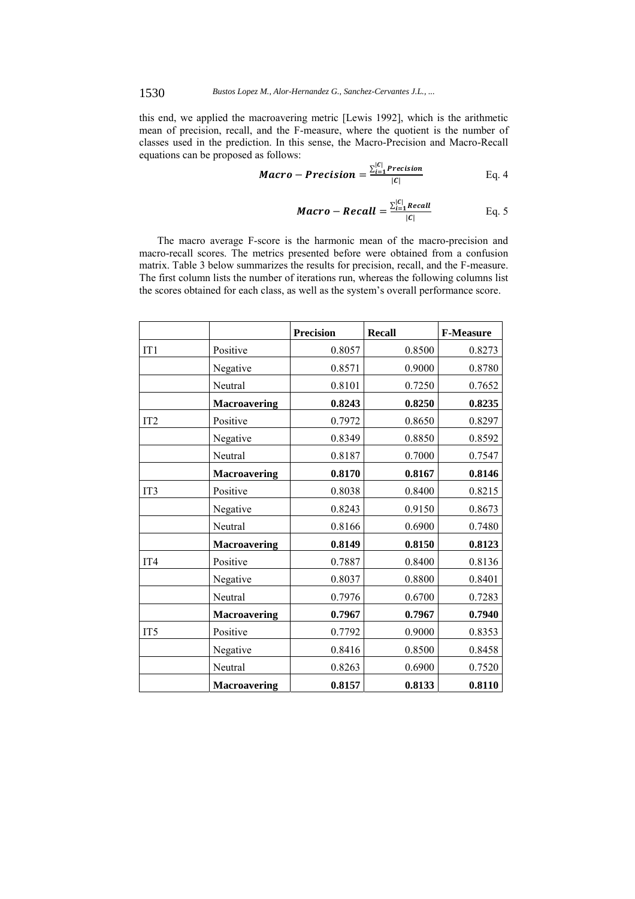this end, we applied the macroavering metric [Lewis 1992], which is the arithmetic mean of precision, recall, and the F-measure, where the quotient is the number of classes used in the prediction. In this sense, the Macro-Precision and Macro-Recall equations can be proposed as follows:

**Macro** – Precision = 
$$
\frac{\sum_{i=1}^{|C|} Precision}{|C|}
$$
 Eq. 4

**Macro – Recall** = 
$$
\frac{\sum_{i=1}^{|C|} Recall}{|C|}
$$
 Eq. 5

The macro average F-score is the harmonic mean of the macro-precision and macro-recall scores. The metrics presented before were obtained from a confusion matrix. Table 3 below summarizes the results for precision, recall, and the F-measure. The first column lists the number of iterations run, whereas the following columns list the scores obtained for each class, as well as the system's overall performance score.

|                 |                     | <b>Precision</b> | <b>Recall</b> | <b>F-Measure</b> |
|-----------------|---------------------|------------------|---------------|------------------|
| IT1             | Positive            | 0.8057           | 0.8500        | 0.8273           |
|                 | Negative            | 0.8571           | 0.9000        | 0.8780           |
|                 | Neutral             | 0.8101           | 0.7250        | 0.7652           |
|                 | <b>Macroavering</b> | 0.8243           | 0.8250        | 0.8235           |
| IT <sub>2</sub> | Positive            | 0.7972           | 0.8650        | 0.8297           |
|                 | Negative            | 0.8349           | 0.8850        | 0.8592           |
|                 | Neutral             | 0.8187           | 0.7000        | 0.7547           |
|                 | <b>Macroavering</b> | 0.8170           | 0.8167        | 0.8146           |
| IT3             | Positive            | 0.8038           | 0.8400        | 0.8215           |
|                 | Negative            | 0.8243           | 0.9150        | 0.8673           |
|                 | Neutral             | 0.8166           | 0.6900        | 0.7480           |
|                 | <b>Macroavering</b> | 0.8149           | 0.8150        | 0.8123           |
| IT <sub>4</sub> | Positive            | 0.7887           | 0.8400        | 0.8136           |
|                 | Negative            | 0.8037           | 0.8800        | 0.8401           |
|                 | Neutral             | 0.7976           | 0.6700        | 0.7283           |
|                 | <b>Macroavering</b> | 0.7967           | 0.7967        | 0.7940           |
| IT <sub>5</sub> | Positive            | 0.7792           | 0.9000        | 0.8353           |
|                 | Negative            | 0.8416           | 0.8500        | 0.8458           |
|                 | Neutral             | 0.8263           | 0.6900        | 0.7520           |
|                 | <b>Macroavering</b> | 0.8157           | 0.8133        | 0.8110           |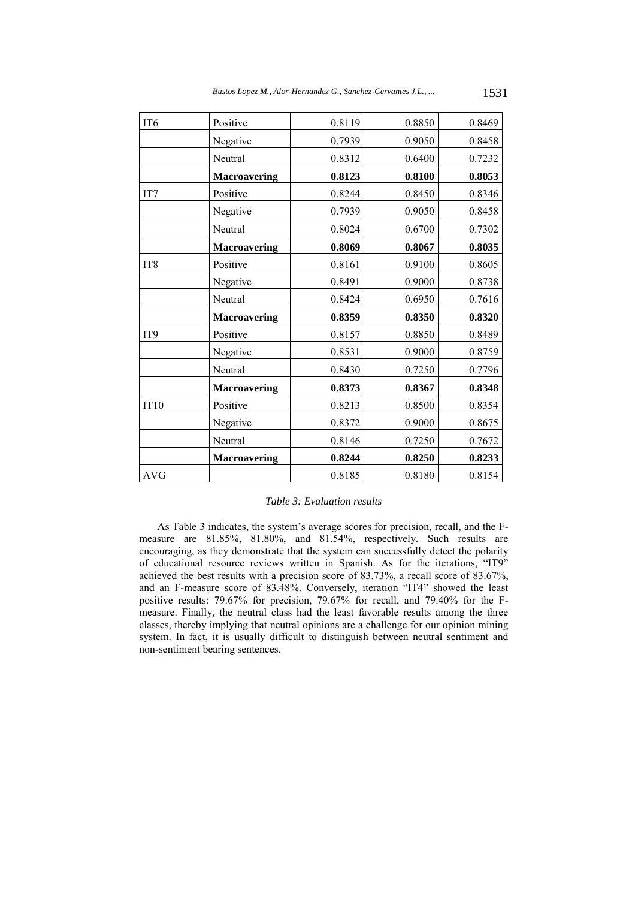| IT <sub>6</sub> | Positive            | 0.8119 | 0.8850 | 0.8469 |
|-----------------|---------------------|--------|--------|--------|
|                 | Negative            | 0.7939 | 0.9050 | 0.8458 |
|                 | Neutral             | 0.8312 | 0.6400 | 0.7232 |
|                 | <b>Macroavering</b> | 0.8123 | 0.8100 | 0.8053 |
| IT7             | Positive            | 0.8244 | 0.8450 | 0.8346 |
|                 | Negative            | 0.7939 | 0.9050 | 0.8458 |
|                 | Neutral             | 0.8024 | 0.6700 | 0.7302 |
|                 | <b>Macroavering</b> | 0.8069 | 0.8067 | 0.8035 |
| IT <sub>8</sub> | Positive            | 0.8161 | 0.9100 | 0.8605 |
|                 | Negative            | 0.8491 | 0.9000 | 0.8738 |
|                 | Neutral             | 0.8424 | 0.6950 | 0.7616 |
|                 | <b>Macroavering</b> | 0.8359 | 0.8350 | 0.8320 |
| IT <sub>9</sub> | Positive            | 0.8157 | 0.8850 | 0.8489 |
|                 | Negative            | 0.8531 | 0.9000 | 0.8759 |
|                 | Neutral             | 0.8430 | 0.7250 | 0.7796 |
|                 | <b>Macroavering</b> | 0.8373 | 0.8367 | 0.8348 |
| <b>IT10</b>     | Positive            | 0.8213 | 0.8500 | 0.8354 |
|                 | Negative            | 0.8372 | 0.9000 | 0.8675 |
|                 | Neutral             | 0.8146 | 0.7250 | 0.7672 |
|                 | <b>Macroavering</b> | 0.8244 | 0.8250 | 0.8233 |
| <b>AVG</b>      |                     | 0.8185 | 0.8180 | 0.8154 |

### *Table 3: Evaluation results*

As Table 3 indicates, the system's average scores for precision, recall, and the Fmeasure are 81.85%, 81.80%, and 81.54%, respectively. Such results are encouraging, as they demonstrate that the system can successfully detect the polarity of educational resource reviews written in Spanish. As for the iterations, "IT9" achieved the best results with a precision score of 83.73%, a recall score of 83.67%, and an F-measure score of 83.48%. Conversely, iteration "IT4" showed the least positive results: 79.67% for precision, 79.67% for recall, and 79.40% for the Fmeasure. Finally, the neutral class had the least favorable results among the three classes, thereby implying that neutral opinions are a challenge for our opinion mining system. In fact, it is usually difficult to distinguish between neutral sentiment and non-sentiment bearing sentences.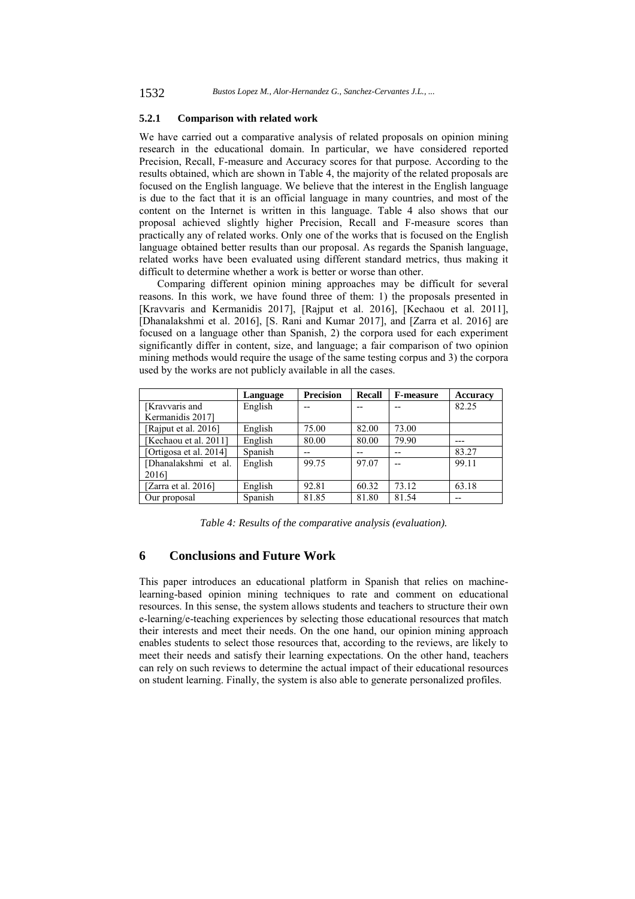### **5.2.1 Comparison with related work**

We have carried out a comparative analysis of related proposals on opinion mining research in the educational domain. In particular, we have considered reported Precision, Recall, F-measure and Accuracy scores for that purpose. According to the results obtained, which are shown in Table 4, the majority of the related proposals are focused on the English language. We believe that the interest in the English language is due to the fact that it is an official language in many countries, and most of the content on the Internet is written in this language. Table 4 also shows that our proposal achieved slightly higher Precision, Recall and F-measure scores than practically any of related works. Only one of the works that is focused on the English language obtained better results than our proposal. As regards the Spanish language, related works have been evaluated using different standard metrics, thus making it difficult to determine whether a work is better or worse than other.

Comparing different opinion mining approaches may be difficult for several reasons. In this work, we have found three of them: 1) the proposals presented in [Kravvaris and Kermanidis 2017], [Rajput et al. 2016], [Kechaou et al. 2011], [Dhanalakshmi et al. 2016], [S. Rani and Kumar 2017], and [Zarra et al. 2016] are focused on a language other than Spanish, 2) the corpora used for each experiment significantly differ in content, size, and language; a fair comparison of two opinion mining methods would require the usage of the same testing corpus and 3) the corpora used by the works are not publicly available in all the cases.

|                        | Language | <b>Precision</b> | <b>Recall</b> | <b>F-measure</b> | Accuracy |
|------------------------|----------|------------------|---------------|------------------|----------|
| [Kravvaris and]        | English  |                  |               |                  | 82.25    |
| Kermanidis 2017]       |          |                  |               |                  |          |
| [Rajput et al. 2016]   | English  | 75.00            | 82.00         | 73.00            |          |
| [Kechaou et al. 2011]  | English  | 80.00            | 80.00         | 79.90            |          |
| [Ortigosa et al. 2014] | Spanish  | --               |               | --               | 83.27    |
| [Dhanalakshmi et al.   | English  | 99.75            | 97.07         |                  | 99.11    |
| 20161                  |          |                  |               |                  |          |
| [Zarra et al. $2016$ ] | English  | 92.81            | 60.32         | 73.12            | 63.18    |
| Our proposal           | Spanish  | 81.85            | 81.80         | 81.54            | $- -$    |

*Table 4: Results of the comparative analysis (evaluation).* 

# **6 Conclusions and Future Work**

This paper introduces an educational platform in Spanish that relies on machinelearning-based opinion mining techniques to rate and comment on educational resources. In this sense, the system allows students and teachers to structure their own e-learning/e-teaching experiences by selecting those educational resources that match their interests and meet their needs. On the one hand, our opinion mining approach enables students to select those resources that, according to the reviews, are likely to meet their needs and satisfy their learning expectations. On the other hand, teachers can rely on such reviews to determine the actual impact of their educational resources on student learning. Finally, the system is also able to generate personalized profiles.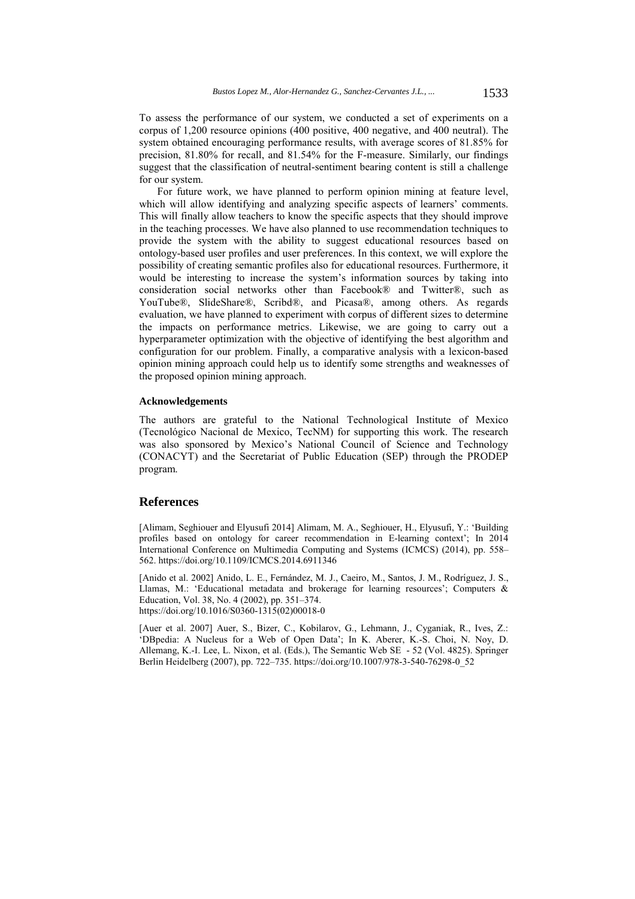To assess the performance of our system, we conducted a set of experiments on a corpus of 1,200 resource opinions (400 positive, 400 negative, and 400 neutral). The system obtained encouraging performance results, with average scores of 81.85% for precision, 81.80% for recall, and 81.54% for the F-measure. Similarly, our findings suggest that the classification of neutral-sentiment bearing content is still a challenge for our system.

For future work, we have planned to perform opinion mining at feature level, which will allow identifying and analyzing specific aspects of learners' comments. This will finally allow teachers to know the specific aspects that they should improve in the teaching processes. We have also planned to use recommendation techniques to provide the system with the ability to suggest educational resources based on ontology-based user profiles and user preferences. In this context, we will explore the possibility of creating semantic profiles also for educational resources. Furthermore, it would be interesting to increase the system's information sources by taking into consideration social networks other than Facebook® and Twitter®, such as YouTube®, SlideShare®, Scribd®, and Picasa®, among others. As regards evaluation, we have planned to experiment with corpus of different sizes to determine the impacts on performance metrics. Likewise, we are going to carry out a hyperparameter optimization with the objective of identifying the best algorithm and configuration for our problem. Finally, a comparative analysis with a lexicon-based opinion mining approach could help us to identify some strengths and weaknesses of the proposed opinion mining approach.

### **Acknowledgements**

The authors are grateful to the National Technological Institute of Mexico (Tecnológico Nacional de Mexico, TecNM) for supporting this work. The research was also sponsored by Mexico's National Council of Science and Technology (CONACYT) and the Secretariat of Public Education (SEP) through the PRODEP program.

### **References**

[Alimam, Seghiouer and Elyusufi 2014] Alimam, M. A., Seghiouer, H., Elyusufi, Y.: 'Building profiles based on ontology for career recommendation in E-learning context'; In 2014 International Conference on Multimedia Computing and Systems (ICMCS) (2014), pp. 558– 562. https://doi.org/10.1109/ICMCS.2014.6911346

[Anido et al. 2002] Anido, L. E., Fernández, M. J., Caeiro, M., Santos, J. M., Rodríguez, J. S., Llamas, M.: 'Educational metadata and brokerage for learning resources'; Computers & Education, Vol. 38, No. 4 (2002), pp. 351–374. https://doi.org/10.1016/S0360-1315(02)00018-0

[Auer et al. 2007] Auer, S., Bizer, C., Kobilarov, G., Lehmann, J., Cyganiak, R., Ives, Z.: 'DBpedia: A Nucleus for a Web of Open Data'; In K. Aberer, K.-S. Choi, N. Noy, D. Allemang, K.-I. Lee, L. Nixon, et al. (Eds.), The Semantic Web SE - 52 (Vol. 4825). Springer Berlin Heidelberg (2007), pp. 722–735. https://doi.org/10.1007/978-3-540-76298-0\_52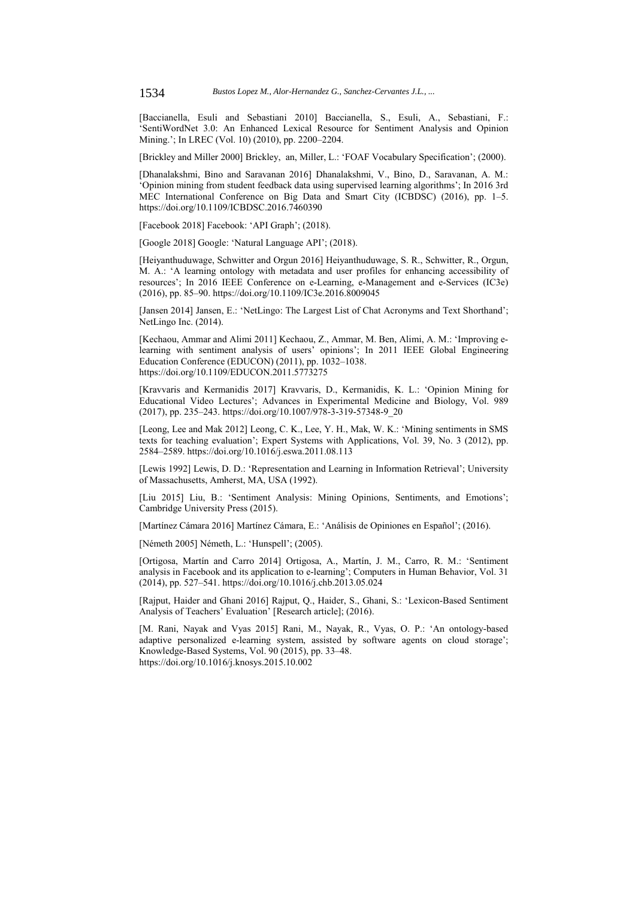[Baccianella, Esuli and Sebastiani 2010] Baccianella, S., Esuli, A., Sebastiani, F.: 'SentiWordNet 3.0: An Enhanced Lexical Resource for Sentiment Analysis and Opinion Mining.'; In LREC (Vol. 10) (2010), pp. 2200–2204.

[Brickley and Miller 2000] Brickley, an, Miller, L.: 'FOAF Vocabulary Specification'; (2000).

[Dhanalakshmi, Bino and Saravanan 2016] Dhanalakshmi, V., Bino, D., Saravanan, A. M.: 'Opinion mining from student feedback data using supervised learning algorithms'; In 2016 3rd MEC International Conference on Big Data and Smart City (ICBDSC) (2016), pp. 1–5. https://doi.org/10.1109/ICBDSC.2016.7460390

[Facebook 2018] Facebook: 'API Graph'; (2018).

[Google 2018] Google: 'Natural Language API'; (2018).

[Heiyanthuduwage, Schwitter and Orgun 2016] Heiyanthuduwage, S. R., Schwitter, R., Orgun, M. A.: 'A learning ontology with metadata and user profiles for enhancing accessibility of resources'; In 2016 IEEE Conference on e-Learning, e-Management and e-Services (IC3e) (2016), pp. 85–90. https://doi.org/10.1109/IC3e.2016.8009045

[Jansen 2014] Jansen, E.: 'NetLingo: The Largest List of Chat Acronyms and Text Shorthand'; NetLingo Inc. (2014).

[Kechaou, Ammar and Alimi 2011] Kechaou, Z., Ammar, M. Ben, Alimi, A. M.: 'Improving elearning with sentiment analysis of users' opinions'; In 2011 IEEE Global Engineering Education Conference (EDUCON) (2011), pp. 1032–1038. https://doi.org/10.1109/EDUCON.2011.5773275

[Kravvaris and Kermanidis 2017] Kravvaris, D., Kermanidis, K. L.: 'Opinion Mining for Educational Video Lectures'; Advances in Experimental Medicine and Biology, Vol. 989 (2017), pp. 235–243. https://doi.org/10.1007/978-3-319-57348-9\_20

[Leong, Lee and Mak 2012] Leong, C. K., Lee, Y. H., Mak, W. K.: 'Mining sentiments in SMS texts for teaching evaluation'; Expert Systems with Applications, Vol. 39, No. 3 (2012), pp. 2584–2589. https://doi.org/10.1016/j.eswa.2011.08.113

[Lewis 1992] Lewis, D. D.: 'Representation and Learning in Information Retrieval'; University of Massachusetts, Amherst, MA, USA (1992).

[Liu 2015] Liu, B.: 'Sentiment Analysis: Mining Opinions, Sentiments, and Emotions'; Cambridge University Press (2015).

[Martínez Cámara 2016] Martínez Cámara, E.: 'Análisis de Opiniones en Español'; (2016).

[Németh 2005] Németh, L.: 'Hunspell'; (2005).

[Ortigosa, Martín and Carro 2014] Ortigosa, A., Martín, J. M., Carro, R. M.: 'Sentiment analysis in Facebook and its application to e-learning'; Computers in Human Behavior, Vol. 31 (2014), pp. 527–541. https://doi.org/10.1016/j.chb.2013.05.024

[Rajput, Haider and Ghani 2016] Rajput, Q., Haider, S., Ghani, S.: 'Lexicon-Based Sentiment Analysis of Teachers' Evaluation' [Research article]; (2016).

[M. Rani, Nayak and Vyas 2015] Rani, M., Nayak, R., Vyas, O. P.: 'An ontology-based adaptive personalized e-learning system, assisted by software agents on cloud storage'; Knowledge-Based Systems, Vol. 90 (2015), pp. 33–48. https://doi.org/10.1016/j.knosys.2015.10.002